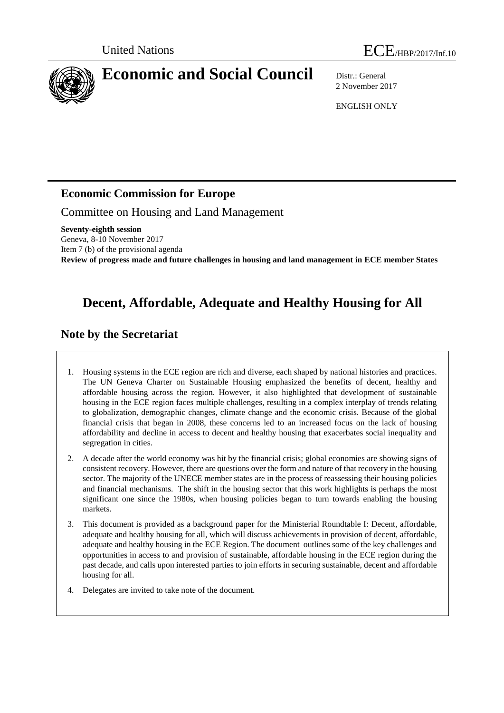



2 November 2017

ENGLISH ONLY

## **Economic Commission for Europe**

Committee on Housing and Land Management

**Seventy-eighth session** Geneva, 8-10 November 2017 Item 7 (b) of the provisional agenda **Review of progress made and future challenges in housing and land management in ECE member States**

# **Decent, Affordable, Adequate and Healthy Housing for All**

## **Note by the Secretariat**

1. Housing systems in the ECE region are rich and diverse, each shaped by national histories and practices. The UN Geneva Charter on Sustainable Housing emphasized the benefits of decent, healthy and affordable housing across the region. However, it also highlighted that development of sustainable housing in the ECE region faces multiple challenges, resulting in a complex interplay of trends relating to globalization, demographic changes, climate change and the economic crisis. Because of the global financial crisis that began in 2008, these concerns led to an increased focus on the lack of housing affordability and decline in access to decent and healthy housing that exacerbates social inequality and segregation in cities.

- 2. A decade after the world economy was hit by the financial crisis; global economies are showing signs of consistent recovery. However, there are questions over the form and nature of that recovery in the housing sector. The majority of the UNECE member states are in the process of reassessing their housing policies and financial mechanisms. The shift in the housing sector that this work highlights is perhaps the most significant one since the 1980s, when housing policies began to turn towards enabling the housing markets.
- 3. This document is provided as a background paper for the Ministerial Roundtable I: Decent, affordable, adequate and healthy housing for all, which will discuss achievements in provision of decent, affordable, adequate and healthy housing in the ECE Region. The document outlines some of the key challenges and opportunities in access to and provision of sustainable, affordable housing in the ECE region during the past decade, and calls upon interested parties to join efforts in securing sustainable, decent and affordable housing for all.
- 4. Delegates are invited to take note of the document.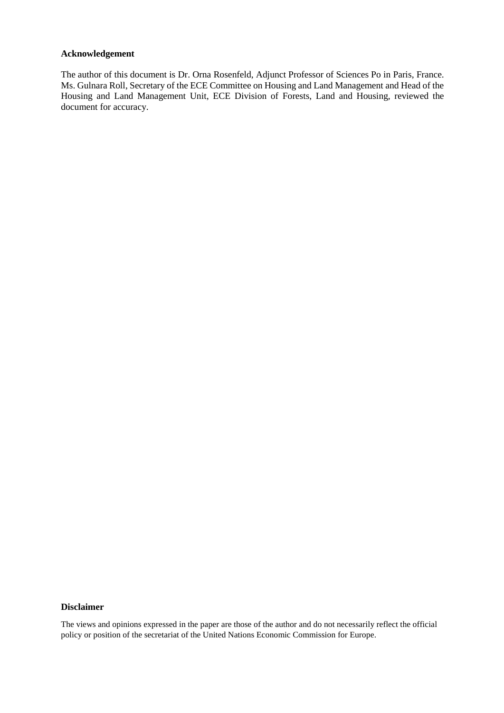#### **Acknowledgement**

The author of this document is Dr. Orna Rosenfeld, Adjunct Professor of Sciences Po in Paris, France. Ms. Gulnara Roll, Secretary of the ECE Committee on Housing and Land Management and Head of the Housing and Land Management Unit, ECE Division of Forests, Land and Housing, reviewed the document for accuracy.

#### **Disclaimer**

The views and opinions expressed in the paper are those of the author and do not necessarily reflect the official policy or position of the secretariat of the United Nations Economic Commission for Europe.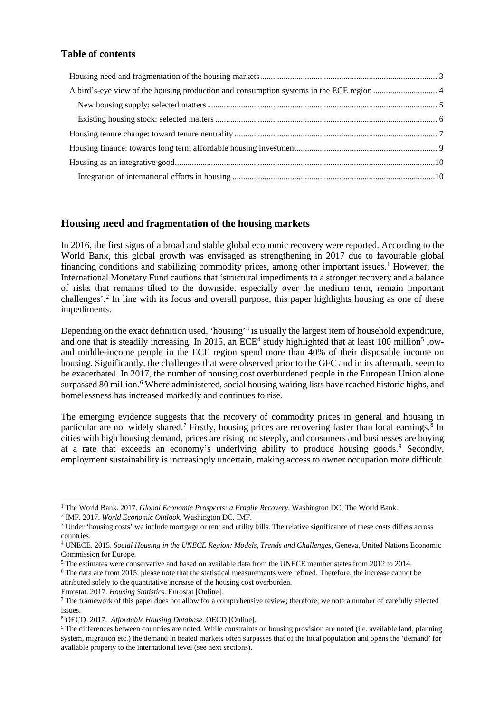#### **Table of contents**

#### <span id="page-2-0"></span>**Housing need and fragmentation of the housing markets**

In 2016, the first signs of a broad and stable global economic recovery were reported. According to the World Bank, this global growth was envisaged as strengthening in 2017 due to favourable global financing conditions and stabilizing commodity prices, among other important issues.<sup>[1](#page-2-1)</sup> However, the International Monetary Fund cautions that 'structural impediments to a stronger recovery and a balance of risks that remains tilted to the downside, especially over the medium term, remain important challenges'. [2](#page-2-2) In line with its focus and overall purpose, this paper highlights housing as one of these impediments.

Depending on the exact definition used, 'housing'<sup>[3](#page-2-3)</sup> is usually the largest item of household expenditure, and one that is steadily increasing. In 201[5](#page-2-5), an  $ECE<sup>4</sup>$  $ECE<sup>4</sup>$  $ECE<sup>4</sup>$  study highlighted that at least 100 million<sup>5</sup> lowand middle-income people in the ECE region spend more than 40% of their disposable income on housing. Significantly, the challenges that were observed prior to the GFC and in its aftermath, seem to be exacerbated. In 2017, the number of housing cost overburdened people in the European Union alone surpassed 80 million.<sup>[6](#page-2-6)</sup> Where administered, social housing waiting lists have reached historic highs, and homelessness has increased markedly and continues to rise.

The emerging evidence suggests that the recovery of commodity prices in general and housing in particular are not widely shared.<sup>[7](#page-2-7)</sup> Firstly, housing prices are recovering faster than local earnings.<sup>[8](#page-2-8)</sup> In cities with high housing demand, prices are rising too steeply, and consumers and businesses are buying at a rate that exceeds an economy's underlying ability to produce housing goods. [9](#page-2-9) Secondly, employment sustainability is increasingly uncertain, making access to owner occupation more difficult.

Eurostat. 2017. *Housing Statistics*. Eurostat [Online].

<span id="page-2-3"></span><span id="page-2-2"></span>

<span id="page-2-1"></span><sup>&</sup>lt;sup>1</sup> The World Bank. 2017. *Global Economic Prospects: a Fragile Recovery*, Washington DC, The World Bank.<br><sup>2</sup> IMF. 2017. *World Economic Outlook*, Washington DC, IMF.<br><sup>3</sup> Under 'housing costs' we include mortgage or rent countries.

<span id="page-2-4"></span><sup>4</sup> UNECE. 2015. *Social Housing in the UNECE Region: Models, Trends and Challenges*, Geneva, United Nations Economic Commission for Europe.

<span id="page-2-5"></span><sup>5</sup> The estimates were conservative and based on available data from the UNECE member states from 2012 to 2014.

<span id="page-2-6"></span><sup>6</sup> The data are from 2015; please note that the statistical measurements were refined. Therefore, the increase cannot be attributed solely to the quantitative increase of the housing cost overburden.

<span id="page-2-7"></span> $<sup>7</sup>$  The framework of this paper does not allow for a comprehensive review; therefore, we note a number of carefully selected</sup> issues.

<span id="page-2-8"></span><sup>8</sup> OECD. 2017. *Affordable Housing Database*. OECD [Online].

<span id="page-2-9"></span><sup>&</sup>lt;sup>9</sup> The differences between countries are noted. While constraints on housing provision are noted (i.e. available land, planning system, migration etc.) the demand in heated markets often surpasses that of the local population and opens the 'demand' for available property to the international level (see next sections).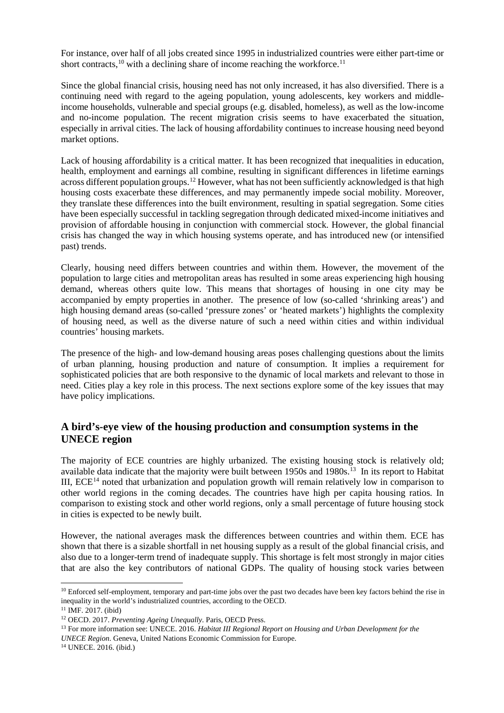For instance, over half of all jobs created since 1995 in industrialized countries were either part-time or short contracts,  $10$  with a declining share of income reaching the workforce.  $11$ 

Since the global financial crisis, housing need has not only increased, it has also diversified. There is a continuing need with regard to the ageing population, young adolescents, key workers and middleincome households, vulnerable and special groups (e.g. disabled, homeless), as well as the low-income and no-income population. The recent migration crisis seems to have exacerbated the situation, especially in arrival cities. The lack of housing affordability continues to increase housing need beyond market options.

Lack of housing affordability is a critical matter. It has been recognized that inequalities in education, health, employment and earnings all combine, resulting in significant differences in lifetime earnings across different population groups.<sup>[12](#page-3-3)</sup> However, what has not been sufficiently acknowledged is that high housing costs exacerbate these differences, and may permanently impede social mobility. Moreover, they translate these differences into the built environment, resulting in spatial segregation. Some cities have been especially successful in tackling segregation through dedicated mixed-income initiatives and provision of affordable housing in conjunction with commercial stock. However, the global financial crisis has changed the way in which housing systems operate, and has introduced new (or intensified past) trends.

Clearly, housing need differs between countries and within them. However, the movement of the population to large cities and metropolitan areas has resulted in some areas experiencing high housing demand, whereas others quite low. This means that shortages of housing in one city may be accompanied by empty properties in another. The presence of low (so-called 'shrinking areas') and high housing demand areas (so-called 'pressure zones' or 'heated markets') highlights the complexity of housing need, as well as the diverse nature of such a need within cities and within individual countries' housing markets.

The presence of the high- and low-demand housing areas poses challenging questions about the limits of urban planning, housing production and nature of consumption. It implies a requirement for sophisticated policies that are both responsive to the dynamic of local markets and relevant to those in need. Cities play a key role in this process. The next sections explore some of the key issues that may have policy implications.

### <span id="page-3-0"></span>**A bird's-eye view of the housing production and consumption systems in the UNECE region**

The majority of ECE countries are highly urbanized. The existing housing stock is relatively old; available data indicate that the majority were built between 1950s and 1980s.<sup>[13](#page-3-4)</sup> In its report to Habitat III,  $ECE<sup>14</sup>$  $ECE<sup>14</sup>$  $ECE<sup>14</sup>$  noted that urbanization and population growth will remain relatively low in comparison to other world regions in the coming decades. The countries have high per capita housing ratios. In comparison to existing stock and other world regions, only a small percentage of future housing stock in cities is expected to be newly built.

However, the national averages mask the differences between countries and within them. ECE has shown that there is a sizable shortfall in net housing supply as a result of the global financial crisis, and also due to a longer-term trend of inadequate supply. This shortage is felt most strongly in major cities that are also the key contributors of national GDPs. The quality of housing stock varies between

<span id="page-3-5"></span>*UNECE Region*. Geneva, United Nations Economic Commission for Europe. 14 UNECE. 2016. (ibid.)

<span id="page-3-1"></span><sup>&</sup>lt;sup>10</sup> Enforced self-employment, temporary and part-time jobs over the past two decades have been key factors behind the rise in inequality in the world's industrialized countries, according to the OECD.

<span id="page-3-2"></span><sup>11</sup> IMF. 2017. (ibid)

<span id="page-3-3"></span><sup>12</sup> OECD. 2017. *Preventing Ageing Unequally*. Paris, OECD Press.

<span id="page-3-4"></span><sup>13</sup> For more information see: UNECE. 2016. *Habitat III Regional Report on Housing and Urban Development for the*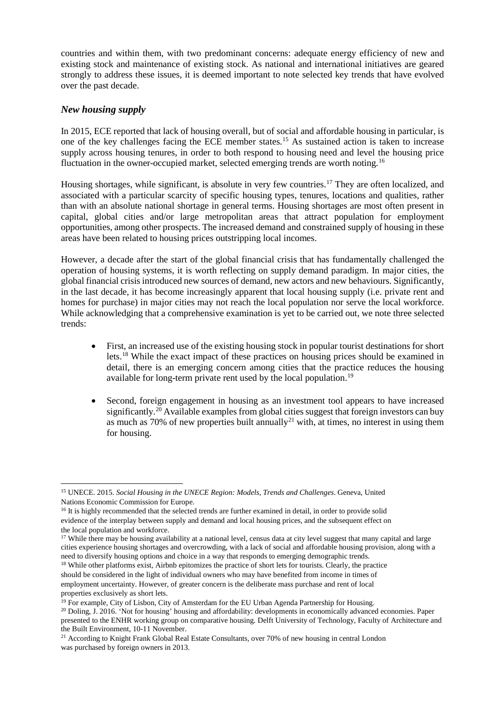countries and within them, with two predominant concerns: adequate energy efficiency of new and existing stock and maintenance of existing stock. As national and international initiatives are geared strongly to address these issues, it is deemed important to note selected key trends that have evolved over the past decade.

#### <span id="page-4-0"></span>*New housing supply*

In 2015, ECE reported that lack of housing overall, but of social and affordable housing in particular, is one of the key challenges facing the ECE member states. [15](#page-4-1) As sustained action is taken to increase supply across housing tenures, in order to both respond to housing need and level the housing price fluctuation in the owner-occupied market, selected emerging trends are worth noting.<sup>[16](#page-4-2)</sup>

Housing shortages, while significant, is absolute in very few countries.<sup>[17](#page-4-3)</sup> They are often localized, and associated with a particular scarcity of specific housing types, tenures, locations and qualities, rather than with an absolute national shortage in general terms. Housing shortages are most often present in capital, global cities and/or large metropolitan areas that attract population for employment opportunities, among other prospects. The increased demand and constrained supply of housing in these areas have been related to housing prices outstripping local incomes.

However, a decade after the start of the global financial crisis that has fundamentally challenged the operation of housing systems, it is worth reflecting on supply demand paradigm. In major cities, the global financial crisis introduced new sources of demand, new actors and new behaviours. Significantly, in the last decade, it has become increasingly apparent that local housing supply (i.e. private rent and homes for purchase) in major cities may not reach the local population nor serve the local workforce. While acknowledging that a comprehensive examination is yet to be carried out, we note three selected trends:

- First, an increased use of the existing housing stock in popular tourist destinations for short lets. [18](#page-4-4) While the exact impact of these practices on housing prices should be examined in detail, there is an emerging concern among cities that the practice reduces the housing available for long-term private rent used by the local population.<sup>[19](#page-4-5)</sup>
- Second, foreign engagement in housing as an investment tool appears to have increased significantly.<sup>[20](#page-4-6)</sup> Available examples from global cities suggest that foreign investors can buy as much as  $70\%$  of new properties built annually<sup>[21](#page-4-7)</sup> with, at times, no interest in using them for housing.

<span id="page-4-1"></span> <sup>15</sup> UNECE. 2015. *Social Housing in the UNECE Region: Models, Trends and Challenges*. Geneva, United Nations Economic Commission for Europe.

<span id="page-4-2"></span><sup>&</sup>lt;sup>16</sup> It is highly recommended that the selected trends are further examined in detail, in order to provide solid evidence of the interplay between supply and demand and local housing prices, and the subsequent effect on the local population and workforce.

<span id="page-4-3"></span><sup>&</sup>lt;sup>17</sup> While there may be housing availability at a national level, census data at city level suggest that many capital and large cities experience housing shortages and overcrowding, with a lack of social and affordable housing provision, along with a need to diversify housing options and choice in a way that responds to emerging demographic trends.

<span id="page-4-4"></span><sup>&</sup>lt;sup>18</sup> While other platforms exist, Airbnb epitomizes the practice of short lets for tourists. Clearly, the practice should be considered in the light of individual owners who may have benefited from income in times of employment uncertainty. However, of greater concern is the deliberate mass purchase and rent of local properties exclusively as short lets.<br><sup>19</sup> For example, City of Lisbon, City of Amsterdam for the EU Urban Agenda Partnership for Housing.<br><sup>20</sup> Doling, J. 2016. 'Not for housing' housing and affordability: developments in

<span id="page-4-5"></span>

<span id="page-4-6"></span>presented to the ENHR working group on comparative housing. Delft University of Technology, Faculty of Architecture and the Built Environment, 10-11 November.

<span id="page-4-7"></span><sup>&</sup>lt;sup>21</sup> According to Knight Frank Global Real Estate Consultants, over 70% of new housing in central London was purchased by foreign owners in 2013.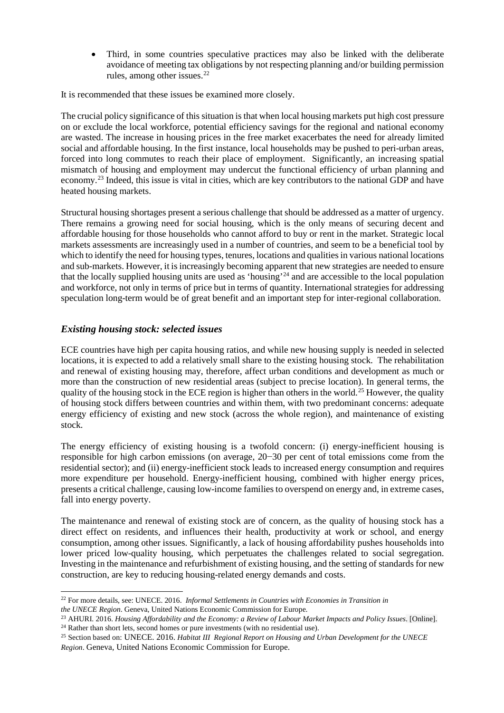• Third, in some countries speculative practices may also be linked with the deliberate avoidance of meeting tax obligations by not respecting planning and/or building permission rules, among other issues.<sup>[22](#page-5-1)</sup>

It is recommended that these issues be examined more closely.

The crucial policy significance of this situation is that when local housing markets put high cost pressure on or exclude the local workforce, potential efficiency savings for the regional and national economy are wasted. The increase in housing prices in the free market exacerbates the need for already limited social and affordable housing. In the first instance, local households may be pushed to peri-urban areas, forced into long commutes to reach their place of employment. Significantly, an increasing spatial mismatch of housing and employment may undercut the functional efficiency of urban planning and economy.<sup>[23](#page-5-2)</sup> Indeed, this issue is vital in cities, which are key contributors to the national GDP and have heated housing markets.

Structural housing shortages present a serious challenge that should be addressed as a matter of urgency. There remains a growing need for social housing, which is the only means of securing decent and affordable housing for those households who cannot afford to buy or rent in the market. Strategic local markets assessments are increasingly used in a number of countries, and seem to be a beneficial tool by which to identify the need for housing types, tenures, locations and qualities in various national locations and sub-markets. However, it is increasingly becoming apparent that new strategies are needed to ensure that the locally supplied housing units are used as 'housing'[24](#page-5-3) and are accessible to the local population and workforce, not only in terms of price but in terms of quantity. International strategies for addressing speculation long-term would be of great benefit and an important step for inter-regional collaboration.

#### <span id="page-5-0"></span>*Existing housing stock: selected issues*

ECE countries have high per capita housing ratios, and while new housing supply is needed in selected locations, it is expected to add a relatively small share to the existing housing stock. The rehabilitation and renewal of existing housing may, therefore, affect urban conditions and development as much or more than the construction of new residential areas (subject to precise location). In general terms, the quality of the housing stock in the ECE region is higher than others in the world.<sup>[25](#page-5-4)</sup> However, the quality of housing stock differs between countries and within them, with two predominant concerns: adequate energy efficiency of existing and new stock (across the whole region), and maintenance of existing stock.

The energy efficiency of existing housing is a twofold concern: (i) energy-inefficient housing is responsible for high carbon emissions (on average, 20−30 per cent of total emissions come from the residential sector); and (ii) energy-inefficient stock leads to increased energy consumption and requires more expenditure per household. Energy-inefficient housing, combined with higher energy prices, presents a critical challenge, causing low-income families to overspend on energy and, in extreme cases, fall into energy poverty.

The maintenance and renewal of existing stock are of concern, as the quality of housing stock has a direct effect on residents, and influences their health, productivity at work or school, and energy consumption, among other issues. Significantly, a lack of housing affordability pushes households into lower priced low-quality housing, which perpetuates the challenges related to social segregation. Investing in the maintenance and refurbishment of existing housing, and the setting of standards for new construction, are key to reducing housing-related energy demands and costs.

<span id="page-5-1"></span><sup>&</sup>lt;sup>22</sup> For more details, see: UNECE. 2016. *Informal Settlements in Countries with Economies in Transition in the UNECE Region*. Geneva, United Nations Economic Commission for Europe.

<span id="page-5-2"></span><sup>&</sup>lt;sup>23</sup> AHURI. 2016. *Housing Affordability and the Economy: a Review of Labour Market Impacts and Policy Issues.* [Online]. <sup>24</sup> Rather than short lets, second homes or pure investments (with no residential use).

<span id="page-5-4"></span><span id="page-5-3"></span><sup>25</sup> Section based on: UNECE. 2016. *Habitat III Regional Report on Housing and Urban Development for the UNECE Region*. Geneva, United Nations Economic Commission for Europe.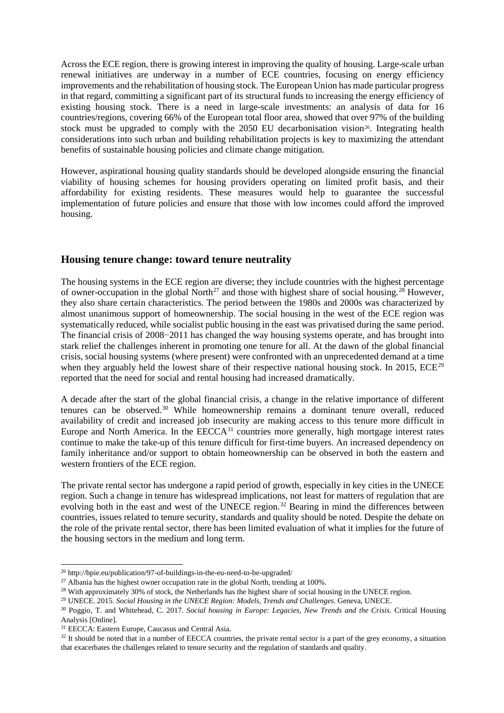Across the ECE region, there is growing interest in improving the quality of housing. Large-scale urban renewal initiatives are underway in a number of ECE countries, focusing on energy efficiency improvements and the rehabilitation of housing stock. The European Union has made particular progress in that regard, committing a significant part of its structural funds to increasing the energy efficiency of existing housing stock. There is a need in large-scale investments: an analysis of data for 16 countries/regions, covering 66% of the European total floor area, showed that over 97% of the building stock must be upgraded to comply with the  $2050$  EU decarbonisation vision<sup>26</sup>. Integrating health considerations into such urban and building rehabilitation projects is key to maximizing the attendant benefits of sustainable housing policies and climate change mitigation.

However, aspirational housing quality standards should be developed alongside ensuring the financial viability of housing schemes for housing providers operating on limited profit basis, and their affordability for existing residents. These measures would help to guarantee the successful implementation of future policies and ensure that those with low incomes could afford the improved housing.

#### <span id="page-6-0"></span>**Housing tenure change: toward tenure neutrality**

The housing systems in the ECE region are diverse; they include countries with the highest percentage of owner-occupation in the global North<sup>[27](#page-6-2)</sup> and those with highest share of social housing.<sup>[28](#page-6-3)</sup> However, they also share certain characteristics. The period between the 1980s and 2000s was characterized by almost unanimous support of homeownership. The social housing in the west of the ECE region was systematically reduced, while socialist public housing in the east was privatised during the same period. The financial crisis of 2008−2011 has changed the way housing systems operate, and has brought into stark relief the challenges inherent in promoting one tenure for all. At the dawn of the global financial crisis, social housing systems (where present) were confronted with an unprecedented demand at a time when they arguably held the lowest share of their respective national housing stock. In 2015, ECE<sup>[29](#page-6-4)</sup> reported that the need for social and rental housing had increased dramatically.

A decade after the start of the global financial crisis, a change in the relative importance of different tenures can be observed. [30](#page-6-5) While homeownership remains a dominant tenure overall, reduced availability of credit and increased job insecurity are making access to this tenure more difficult in Europe and North America. In the EECCA<sup>[31](#page-6-6)</sup> countries more generally, high mortgage interest rates continue to make the take-up of this tenure difficult for first-time buyers. An increased dependency on family inheritance and/or support to obtain homeownership can be observed in both the eastern and western frontiers of the ECE region.

The private rental sector has undergone a rapid period of growth, especially in key cities in the UNECE region. Such a change in tenure has widespread implications, not least for matters of regulation that are evolving both in the east and west of the UNECE region.<sup>[32](#page-6-7)</sup> Bearing in mind the differences between countries, issues related to tenure security, standards and quality should be noted. Despite the debate on the role of the private rental sector, there has been limited evaluation of what it implies for the future of the housing sectors in the medium and long term.

<span id="page-6-1"></span> <sup>26</sup> http://bpie.eu/publication/97-of-buildings-in-the-eu-need-to-be-upgraded/

<span id="page-6-2"></span> $27$  Albania has the highest owner occupation rate in the global North, trending at 100%.

<span id="page-6-4"></span><span id="page-6-3"></span><sup>28</sup> With approximately 30% of stock, the Netherlands has the highest share of social housing in the UNECE region. 29 UNECE. 2015. *Social Housing in the UNECE Region: Models, Trends and Challenges*. Geneva, UNECE.

<span id="page-6-5"></span><sup>30</sup> Poggio, T. and Whitehead, C. 2017. *Social housing in Europe: Legacies, New Trends and the Crisis.* Critical Housing Analysis [Online].

<span id="page-6-7"></span><span id="page-6-6"></span><sup>&</sup>lt;sup>31</sup> EECCA: Eastern Europe, Caucasus and Central Asia.  $\frac{32}{10}$  and  $\frac{32}{10}$  and  $\frac{32}{10}$  as ituation  $\frac{32}{10}$  and  $\frac{32}{10}$  are sector is a part of the grey economy, a situation that exacerbates the challenges related to tenure security and the regulation of standards and quality.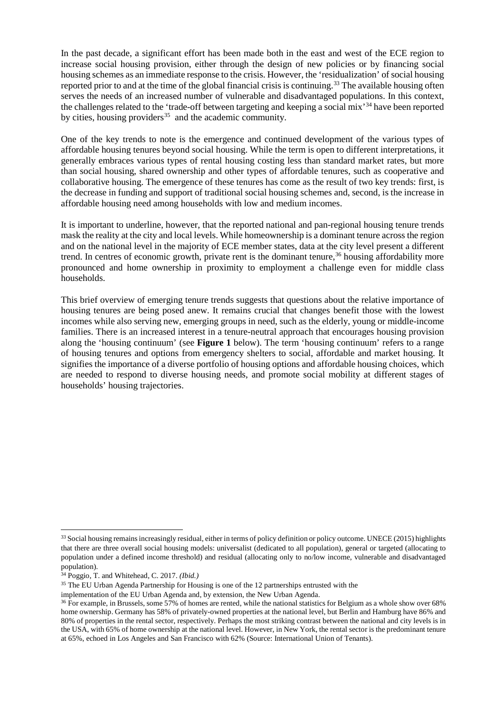In the past decade, a significant effort has been made both in the east and west of the ECE region to increase social housing provision, either through the design of new policies or by financing social housing schemes as an immediate response to the crisis. However, the 'residualization' of social housing reported prior to and at the time of the global financial crisis is continuing.<sup>[33](#page-7-0)</sup> The available housing often serves the needs of an increased number of vulnerable and disadvantaged populations. In this context, the challenges related to the 'trade-off between targeting and keeping a social mix'[34](#page-7-1) have been reported by cities, housing providers<sup>[35](#page-7-2)</sup> and the academic community.

One of the key trends to note is the emergence and continued development of the various types of affordable housing tenures beyond social housing. While the term is open to different interpretations, it generally embraces various types of rental housing costing less than standard market rates, but more than social housing, shared ownership and other types of affordable tenures, such as cooperative and collaborative housing. The emergence of these tenures has come as the result of two key trends: first, is the decrease in funding and support of traditional social housing schemes and, second, is the increase in affordable housing need among households with low and medium incomes.

It is important to underline, however, that the reported national and pan-regional housing tenure trends mask the reality at the city and local levels. While homeownership is a dominant tenure across the region and on the national level in the majority of ECE member states, data at the city level present a different trend. In centres of economic growth, private rent is the dominant tenure, [36](#page-7-3) housing affordability more pronounced and home ownership in proximity to employment a challenge even for middle class households.

This brief overview of emerging tenure trends suggests that questions about the relative importance of housing tenures are being posed anew. It remains crucial that changes benefit those with the lowest incomes while also serving new, emerging groups in need, such as the elderly, young or middle-income families. There is an increased interest in a tenure-neutral approach that encourages housing provision along the 'housing continuum' (see **Figure 1** below). The term 'housing continuum' refers to a range of housing tenures and options from emergency shelters to social, affordable and market housing. It signifies the importance of a diverse portfolio of housing options and affordable housing choices, which are needed to respond to diverse housing needs, and promote social mobility at different stages of households' housing trajectories.

<span id="page-7-0"></span><sup>&</sup>lt;sup>33</sup> Social housing remains increasingly residual, either in terms of policy definition or policy outcome. UNECE (2015) highlights that there are three overall social housing models: universalist (dedicated to all population), general or targeted (allocating to population under a defined income threshold) and residual (allocating only to no/low income, vulnerable and disadvantaged

<span id="page-7-1"></span><sup>&</sup>lt;sup>34</sup> Poggio, T. and Whitehead, C. 2017. *(Ibid.)* 

<span id="page-7-2"></span><sup>&</sup>lt;sup>35</sup> The EU Urban Agenda Partnership for Housing is one of the 12 partnerships entrusted with the

<span id="page-7-3"></span>implementation of the EU Urban Agenda and, by extension, the New Urban Agenda.<br><sup>36</sup> For example, in Brussels, some 57% of homes are rented, while the national statistics for Belgium as a whole show over 68% home ownership. Germany has 58% of privately-owned properties at the national level, but Berlin and Hamburg have 86% and 80% of properties in the rental sector, respectively. Perhaps the most striking contrast between the national and city levels is in the USA, with 65% of home ownership at the national level. However, in New York, the rental sector is the predominant tenure at 65%, echoed in Los Angeles and San Francisco with 62% (Source: International Union of Tenants).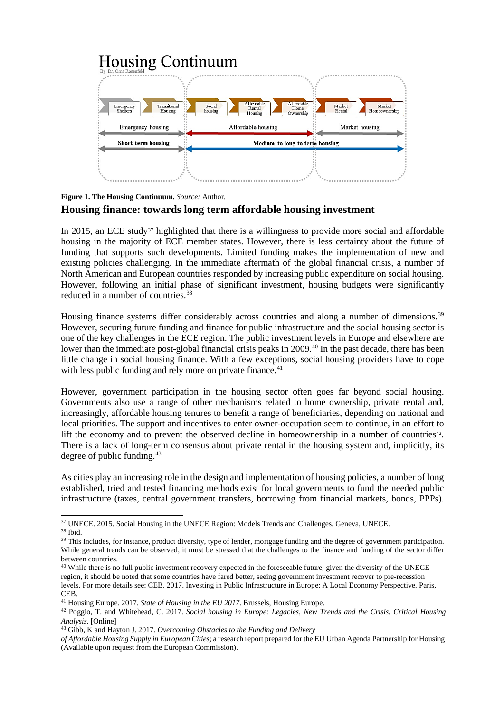#### **Housing Continuum A**ffordable **Affordal** Market Market<br>Homeownershin Transitional<br>Housing Social Emergency<br>Shelters Ho housing Housing Affordable housing Market housing **Emergency** housing **Short term housing** Medium to long to term housing

#### <span id="page-8-0"></span>**Figure 1. The Housing Continuum.** *Source:* Author*.* **Housing finance: towards long term affordable housing investment**

In 2015, an ECE study<sup>[37](#page-8-1)</sup> highlighted that there is a willingness to provide more social and affordable housing in the majority of ECE member states. However, there is less certainty about the future of funding that supports such developments. Limited funding makes the implementation of new and existing policies challenging. In the immediate aftermath of the global financial crisis, a number of North American and European countries responded by increasing public expenditure on social housing. However, following an initial phase of significant investment, housing budgets were significantly reduced in a number of countries. [38](#page-8-2)

Housing finance systems differ considerably across countries and along a number of dimensions.<sup>[39](#page-8-3)</sup> However, securing future funding and finance for public infrastructure and the social housing sector is one of the key challenges in the ECE region. The public investment levels in Europe and elsewhere are lower than the immediate post-global financial crisis peaks in 2009.<sup>[40](#page-8-4)</sup> In the past decade, there has been little change in social housing finance. With a few exceptions, social housing providers have to cope with less public funding and rely more on private finance.<sup>[41](#page-8-5)</sup>

However, government participation in the housing sector often goes far beyond social housing. Governments also use a range of other mechanisms related to home ownership, private rental and, increasingly, affordable housing tenures to benefit a range of beneficiaries, depending on national and local priorities. The support and incentives to enter owner-occupation seem to continue, in an effort to lift the economy and to prevent the observed decline in homeownership in a number of countries $42$ . There is a lack of long-term consensus about private rental in the housing system and, implicitly, its degree of public funding. [43](#page-8-7)

As cities play an increasing role in the design and implementation of housing policies, a number of long established, tried and tested financing methods exist for local governments to fund the needed public infrastructure (taxes, central government transfers, borrowing from financial markets, bonds, PPPs).

<span id="page-8-1"></span><sup>&</sup>lt;sup>37</sup> UNECE. 2015. Social Housing in the UNECE Region: Models Trends and Challenges. Geneva, UNECE.<br><sup>38</sup> Ibid.

<span id="page-8-3"></span><span id="page-8-2"></span><sup>&</sup>lt;sup>39</sup> This includes, for instance, product diversity, type of lender, mortgage funding and the degree of government participation. While general trends can be observed, it must be stressed that the challenges to the finance and funding of the sector differ between countries.

<span id="page-8-4"></span><sup>&</sup>lt;sup>40</sup> While there is no full public investment recovery expected in the foreseeable future, given the diversity of the UNECE region, it should be noted that some countries have fared better, seeing government investment recover to pre-recession levels. For more details see: CEB. 2017. Investing in Public Infrastructure in Europe: A Local Economy Perspective. Paris,

CEB.<br><sup>41</sup> Housing Europe. 2017. State of Housing in the EU 2017. Brussels, Housing Europe.

<span id="page-8-6"></span><span id="page-8-5"></span><sup>&</sup>lt;sup>42</sup> Poggio, T. and Whitehead, C. 2017. *Social housing in Europe: Legacies, New Trends and the Crisis. Critical Housing Analysis*. [Online]

<sup>43</sup> Gibb, K and Hayton J. 2017. *Overcoming Obstacles to the Funding and Delivery*

<span id="page-8-7"></span>*of Affordable Housing Supply in European Cities*; a research report prepared for the EU Urban Agenda Partnership for Housing (Available upon request from the European Commission).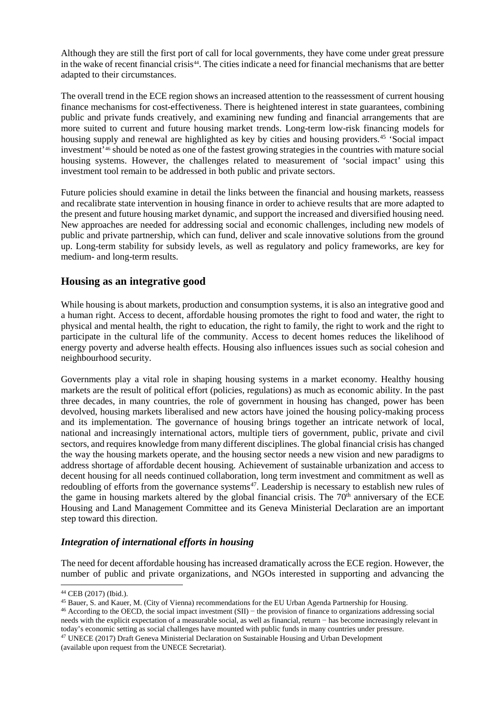Although they are still the first port of call for local governments, they have come under great pressure in the wake of recent financial crisis<sup>[44](#page-9-2)</sup>. The cities indicate a need for financial mechanisms that are better adapted to their circumstances.

The overall trend in the ECE region shows an increased attention to the reassessment of current housing finance mechanisms for cost-effectiveness. There is heightened interest in state guarantees, combining public and private funds creatively, and examining new funding and financial arrangements that are more suited to current and future housing market trends. Long-term low-risk financing models for housing supply and renewal are highlighted as key by cities and housing providers.<sup>[45](#page-9-3)</sup> 'Social impact investment['46](#page-9-4) should be noted as one of the fastest growing strategies in the countries with mature social housing systems. However, the challenges related to measurement of 'social impact' using this investment tool remain to be addressed in both public and private sectors.

Future policies should examine in detail the links between the financial and housing markets, reassess and recalibrate state intervention in housing finance in order to achieve results that are more adapted to the present and future housing market dynamic, and support the increased and diversified housing need. New approaches are needed for addressing social and economic challenges, including new models of public and private partnership, which can fund, deliver and scale innovative solutions from the ground up. Long-term stability for subsidy levels, as well as regulatory and policy frameworks, are key for medium- and long-term results.

#### <span id="page-9-0"></span>**Housing as an integrative good**

While housing is about markets, production and consumption systems, it is also an integrative good and a human right. Access to decent, affordable housing promotes the right to food and water, the right to physical and mental health, the right to education, the right to family, the right to work and the right to participate in the cultural life of the community. Access to decent homes reduces the likelihood of energy poverty and adverse health effects. Housing also influences issues such as social cohesion and neighbourhood security.

Governments play a vital role in shaping housing systems in a market economy. Healthy housing markets are the result of political effort (policies, regulations) as much as economic ability. In the past three decades, in many countries, the role of government in housing has changed, power has been devolved, housing markets liberalised and new actors have joined the housing policy-making process and its implementation. The governance of housing brings together an intricate network of local, national and increasingly international actors, multiple tiers of government, public, private and civil sectors, and requires knowledge from many different disciplines. The global financial crisis has changed the way the housing markets operate, and the housing sector needs a new vision and new paradigms to address shortage of affordable decent housing. Achievement of sustainable urbanization and access to decent housing for all needs continued collaboration, long term investment and commitment as well as redoubling of efforts from the governance systems<sup>[47](#page-9-5)</sup>. Leadership is necessary to establish new rules of the game in housing markets altered by the global financial crisis. The  $70<sup>th</sup>$  anniversary of the ECE Housing and Land Management Committee and its Geneva Ministerial Declaration are an important step toward this direction.

#### <span id="page-9-1"></span>*Integration of international efforts in housing*

The need for decent affordable housing has increased dramatically across the ECE region. However, the number of public and private organizations, and NGOs interested in supporting and advancing the

<span id="page-9-4"></span><span id="page-9-3"></span><sup>46</sup> According to the OECD, the social impact investment (SII) – the provision of finance to organizations addressing social needs with the explicit expectation of a measurable social, as well as financial, return − has become increasingly relevant in today's economic setting as social challenges have mounted with public funds in many countries under pressure.<br><sup>47</sup> UNECE (2017) Draft Geneva Ministerial Declaration on Sustainable Housing and Urban Development

<span id="page-9-2"></span><sup>&</sup>lt;sup>44</sup> CEB (2017) (Ibid.).<br><sup>45</sup> Bauer, S. and Kauer, M. (City of Vienna) recommendations for the EU Urban Agenda Partnership for Housing.

<span id="page-9-5"></span><sup>(</sup>available upon request from the UNECE Secretariat).